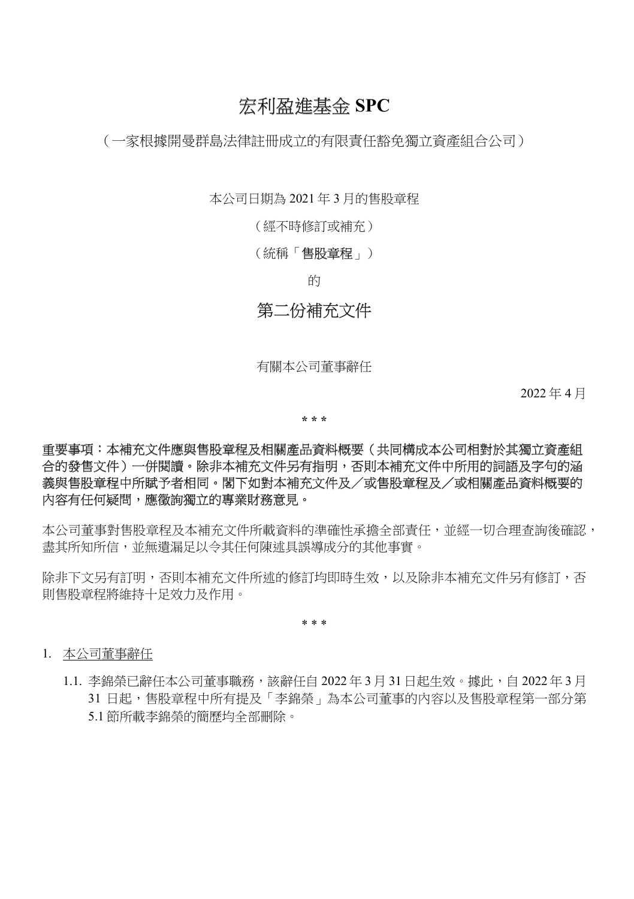# 宏利盈進基金 SPC

(一家根據開曼群島法律註冊成立的有限責任豁免獨立資產組合公司)

本公司日期為 2021 年 3 月的售股章程

(經不時修訂或補充)

(統稱「**售股童程**」)

的

## 第二份補充文件

有關本公司董事辭任

2022 年 4 月

\* \* \*

### 重要事項:本補充文件應與售股章程及相關產品資料概要(共同構成本公司相對於其獨立資產組 合的發售文件)一併閱讀。除非本補充文件另有指明,否則本補充文件中所用的詞語及字句的涵 義與售股章程中所賦予者相同。閣下如對本補充文件及/或售股章程及/或相關產品資料概要的 內容有任何疑問,應徵詢獨立的專業財務意見。

本公司董事對售股章程及本補充文件所載資料的準確性承擔全部責任,並經一切合理查詢後確認, 盡其所知所信,並無遺漏足以令其任何陳述具誤導成分的其他事實。

除非下文另有訂明,否則本補充文件所述的修訂均即時生效,以及除非本補充文件另有修訂,否 則售股章程將維持十足效力及作用。

\* \* \*

#### 1. 本公司董事辭任

1.1. 李錦榮已辭任本公司董事職務,該辭任自 2022 年 3 月 31 日起生效。據此,自 2022 年 3 月 31 日起,售股章程中所有提及「李錦榮」為本公司董事的內容以及售股章程第一部分第 5.1 節所載李錦榮的簡歷均全部刪除。